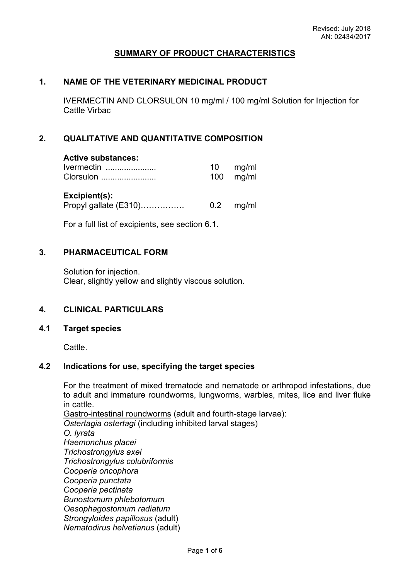# **SUMMARY OF PRODUCT CHARACTERISTICS**

### **1. NAME OF THE VETERINARY MEDICINAL PRODUCT**

IVERMECTIN AND CLORSULON 10 mg/ml / 100 mg/ml Solution for Injection for Cattle Virbac

# **2. QUALITATIVE AND QUANTITATIVE COMPOSITION**

### **Active substances:**

| Ivermectin | 10 | mg/ml       |
|------------|----|-------------|
| Clorsulon  |    | $100$ mg/ml |
|            |    |             |

**Excipient(s):** Propyl gallate (E310)……………. 0.2 mg/ml

For a full list of excipients, see section 6.1.

### **3. PHARMACEUTICAL FORM**

Solution for injection. Clear, slightly yellow and slightly viscous solution.

### **4. CLINICAL PARTICULARS**

### **4.1 Target species**

Cattle.

### **4.2 Indications for use, specifying the target species**

For the treatment of mixed trematode and nematode or arthropod infestations, due to adult and immature roundworms, lungworms, warbles, mites, lice and liver fluke in cattle.

Gastro-intestinal roundworms (adult and fourth-stage larvae): *Ostertagia ostertagi* (including inhibited larval stages) *O. lyrata Haemonchus placei Trichostrongylus axei Trichostrongylus colubriformis Cooperia oncophora Cooperia punctata Cooperia pectinata Bunostomum phlebotomum Oesophagostomum radiatum Strongyloides papillosus* (adult) *Nematodirus helvetianus* (adult)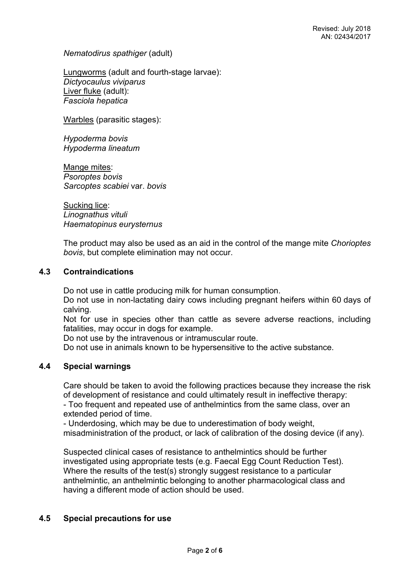*Nematodirus spathiger* (adult)

Lungworms (adult and fourth-stage larvae): *Dictyocaulus viviparus* Liver fluke (adult): *Fasciola hepatica*

Warbles (parasitic stages):

*Hypoderma bovis Hypoderma lineatum*

Mange mites: *Psoroptes bovis Sarcoptes scabiei* var. *bovis*

Sucking lice: *Linognathus vituli Haematopinus eurysternus*

The product may also be used as an aid in the control of the mange mite *Chorioptes bovis*, but complete elimination may not occur.

### **4.3 Contraindications**

Do not use in cattle producing milk for human consumption.

Do not use in non-lactating dairy cows including pregnant heifers within 60 days of calving.

Not for use in species other than cattle as severe adverse reactions, including fatalities, may occur in dogs for example.

Do not use by the intravenous or intramuscular route.

Do not use in animals known to be hypersensitive to the active substance.

# **4.4 Special warnings**

Care should be taken to avoid the following practices because they increase the risk of development of resistance and could ultimately result in ineffective therapy: - Too frequent and repeated use of anthelmintics from the same class, over an extended period of time.

- Underdosing, which may be due to underestimation of body weight, misadministration of the product, or lack of calibration of the dosing device (if any).

Suspected clinical cases of resistance to anthelmintics should be further investigated using appropriate tests (e.g. Faecal Egg Count Reduction Test). Where the results of the test(s) strongly suggest resistance to a particular anthelmintic, an anthelmintic belonging to another pharmacological class and having a different mode of action should be used.

# **4.5 Special precautions for use**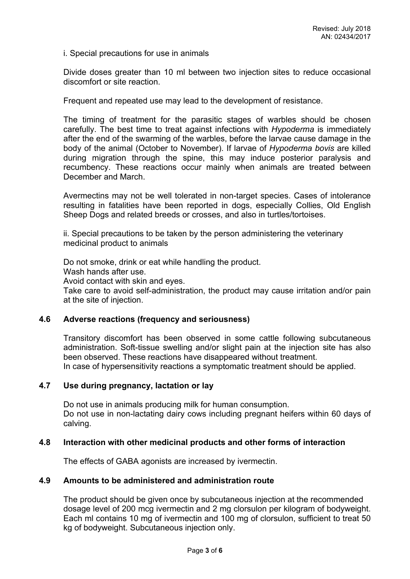i. Special precautions for use in animals

Divide doses greater than 10 ml between two injection sites to reduce occasional discomfort or site reaction.

Frequent and repeated use may lead to the development of resistance.

The timing of treatment for the parasitic stages of warbles should be chosen carefully. The best time to treat against infections with *Hypoderma* is immediately after the end of the swarming of the warbles, before the larvae cause damage in the body of the animal (October to November). If larvae of *Hypoderma bovis* are killed during migration through the spine, this may induce posterior paralysis and recumbency. These reactions occur mainly when animals are treated between December and March.

Avermectins may not be well tolerated in non-target species. Cases of intolerance resulting in fatalities have been reported in dogs, especially Collies, Old English Sheep Dogs and related breeds or crosses, and also in turtles/tortoises.

ii. Special precautions to be taken by the person administering the veterinary medicinal product to animals

Do not smoke, drink or eat while handling the product. Wash hands after use. Avoid contact with skin and eyes. Take care to avoid self-administration, the product may cause irritation and/or pain at the site of injection.

### **4.6 Adverse reactions (frequency and seriousness)**

Transitory discomfort has been observed in some cattle following subcutaneous administration. Soft-tissue swelling and/or slight pain at the injection site has also been observed. These reactions have disappeared without treatment. In case of hypersensitivity reactions a symptomatic treatment should be applied.

### **4.7 Use during pregnancy, lactation or lay**

Do not use in animals producing milk for human consumption. Do not use in non-lactating dairy cows including pregnant heifers within 60 days of calving.

### **4.8 Interaction with other medicinal products and other forms of interaction**

The effects of GABA agonists are increased by ivermectin.

### **4.9 Amounts to be administered and administration route**

The product should be given once by subcutaneous injection at the recommended dosage level of 200 mcg ivermectin and 2 mg clorsulon per kilogram of bodyweight. Each ml contains 10 mg of ivermectin and 100 mg of clorsulon, sufficient to treat 50 kg of bodyweight. Subcutaneous injection only.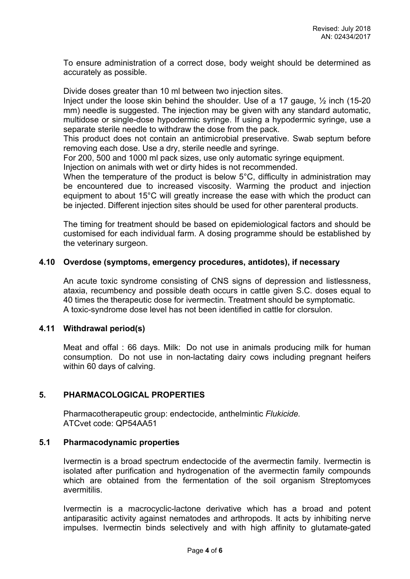To ensure administration of a correct dose, body weight should be determined as accurately as possible.

Divide doses greater than 10 ml between two injection sites.

Inject under the loose skin behind the shoulder. Use of a 17 gauge, ½ inch (15-20 mm) needle is suggested. The injection may be given with any standard automatic, multidose or single-dose hypodermic syringe. If using a hypodermic syringe, use a separate sterile needle to withdraw the dose from the pack.

This product does not contain an antimicrobial preservative. Swab septum before removing each dose. Use a dry, sterile needle and syringe.

For 200, 500 and 1000 ml pack sizes, use only automatic syringe equipment.

Injection on animals with wet or dirty hides is not recommended.

When the temperature of the product is below 5°C, difficulty in administration may be encountered due to increased viscosity. Warming the product and injection equipment to about 15°C will greatly increase the ease with which the product can be injected. Different injection sites should be used for other parenteral products.

The timing for treatment should be based on epidemiological factors and should be customised for each individual farm. A dosing programme should be established by the veterinary surgeon.

# **4.10 Overdose (symptoms, emergency procedures, antidotes), if necessary**

An acute toxic syndrome consisting of CNS signs of depression and listlessness, ataxia, recumbency and possible death occurs in cattle given S.C. doses equal to 40 times the therapeutic dose for ivermectin. Treatment should be symptomatic. A toxic-syndrome dose level has not been identified in cattle for clorsulon.

### **4.11 Withdrawal period(s)**

Meat and offal : 66 days. Milk: Do not use in animals producing milk for human consumption. Do not use in non-lactating dairy cows including pregnant heifers within 60 days of calving.

# **5. PHARMACOLOGICAL PROPERTIES**

Pharmacotherapeutic group: endectocide, anthelmintic *Flukicide.* ATCvet code: QP54AA51

### **5.1 Pharmacodynamic properties**

Ivermectin is a broad spectrum endectocide of the avermectin family. Ivermectin is isolated after purification and hydrogenation of the avermectin family compounds which are obtained from the fermentation of the soil organism Streptomyces avermitilis.

Ivermectin is a macrocyclic-lactone derivative which has a broad and potent antiparasitic activity against nematodes and arthropods. It acts by inhibiting nerve impulses. Ivermectin binds selectively and with high affinity to glutamate-gated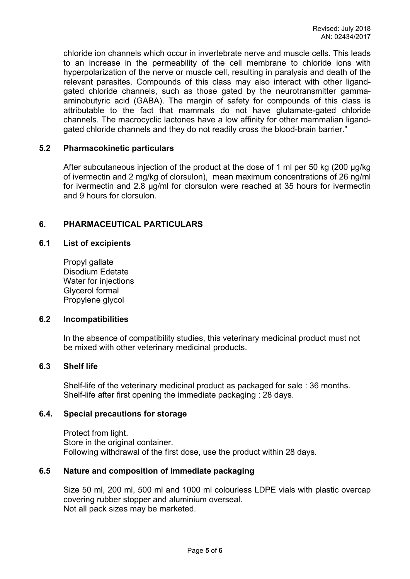chloride ion channels which occur in invertebrate nerve and muscle cells. This leads to an increase in the permeability of the cell membrane to chloride ions with hyperpolarization of the nerve or muscle cell, resulting in paralysis and death of the relevant parasites. Compounds of this class may also interact with other ligandgated chloride channels, such as those gated by the neurotransmitter gammaaminobutyric acid (GABA). The margin of safety for compounds of this class is attributable to the fact that mammals do not have glutamate-gated chloride channels. The macrocyclic lactones have a low affinity for other mammalian ligandgated chloride channels and they do not readily cross the blood-brain barrier."

### **5.2 Pharmacokinetic particulars**

After subcutaneous injection of the product at the dose of 1 ml per 50 kg (200 µg/kg of ivermectin and 2 mg/kg of clorsulon), mean maximum concentrations of 26 ng/ml for ivermectin and 2.8 µg/ml for clorsulon were reached at 35 hours for ivermectin and 9 hours for clorsulon.

# **6. PHARMACEUTICAL PARTICULARS**

### **6.1 List of excipients**

Propyl gallate Disodium Edetate Water for injections Glycerol formal Propylene glycol

### **6.2 Incompatibilities**

In the absence of compatibility studies, this veterinary medicinal product must not be mixed with other veterinary medicinal products.

### **6.3 Shelf life**

Shelf-life of the veterinary medicinal product as packaged for sale : 36 months. Shelf-life after first opening the immediate packaging : 28 days.

### **6.4. Special precautions for storage**

Protect from light. Store in the original container. Following withdrawal of the first dose, use the product within 28 days.

# **6.5 Nature and composition of immediate packaging**

Size 50 ml, 200 ml, 500 ml and 1000 ml colourless LDPE vials with plastic overcap covering rubber stopper and aluminium overseal. Not all pack sizes may be marketed.